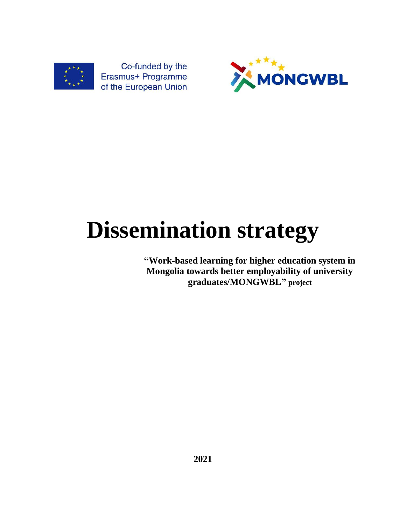

MONGWBL

# **Dissemination strategy**

**"Work-based learning for higher education system in Mongolia towards better employability of university graduates/MONGWBL" project**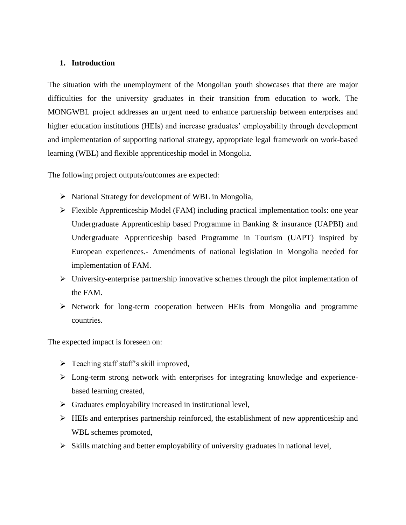#### **1. Introduction**

The situation with the unemployment of the Mongolian youth showcases that there are major difficulties for the university graduates in their transition from education to work. The MONGWBL project addresses an urgent need to enhance partnership between enterprises and higher education institutions (HEIs) and increase graduates' employability through development and implementation of supporting national strategy, appropriate legal framework on work-based learning (WBL) and flexible apprenticeship model in Mongolia.

The following project outputs/outcomes are expected:

- $\triangleright$  National Strategy for development of WBL in Mongolia,
- $\triangleright$  Flexible Apprenticeship Model (FAM) including practical implementation tools: one year Undergraduate Apprenticeship based Programme in Banking & insurance (UAPBI) and Undergraduate Apprenticeship based Programme in Tourism (UAPT) inspired by European experiences.- Amendments of national legislation in Mongolia needed for implementation of FAM.
- $\triangleright$  University-enterprise partnership innovative schemes through the pilot implementation of the FAM.
- $\triangleright$  Network for long-term cooperation between HEIs from Mongolia and programme countries.

The expected impact is foreseen on:

- $\triangleright$  Teaching staff staff's skill improved,
- Long-term strong network with enterprises for integrating knowledge and experiencebased learning created,
- $\triangleright$  Graduates employability increased in institutional level,
- $\triangleright$  HEIs and enterprises partnership reinforced, the establishment of new apprenticeship and WBL schemes promoted,
- $\triangleright$  Skills matching and better employability of university graduates in national level,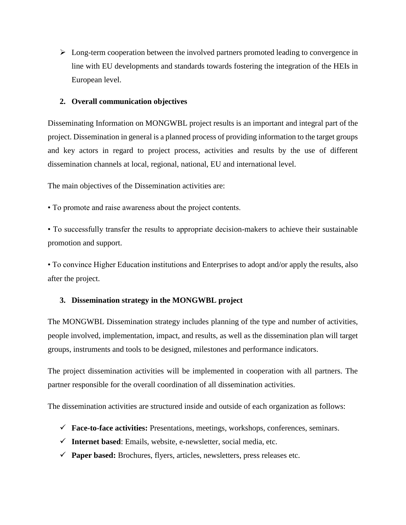$\triangleright$  Long-term cooperation between the involved partners promoted leading to convergence in line with EU developments and standards towards fostering the integration of the HEIs in European level.

## **2. Overall communication objectives**

Disseminating Information on MONGWBL project results is an important and integral part of the project. Dissemination in general is a planned process of providing information to the target groups and key actors in regard to project process, activities and results by the use of different dissemination channels at local, regional, national, EU and international level.

The main objectives of the Dissemination activities are:

• To promote and raise awareness about the project contents.

• To successfully transfer the results to appropriate decision-makers to achieve their sustainable promotion and support.

• To convince Higher Education institutions and Enterprises to adopt and/or apply the results, also after the project.

# **3. Dissemination strategy in the MONGWBL project**

The MONGWBL Dissemination strategy includes planning of the type and number of activities, people involved, implementation, impact, and results, as well as the dissemination plan will target groups, instruments and tools to be designed, milestones and performance indicators.

The project dissemination activities will be implemented in cooperation with all partners. The partner responsible for the overall coordination of all dissemination activities.

The dissemination activities are structured inside and outside of each organization as follows:

- **Face-to-face activities:** Presentations, meetings, workshops, conferences, seminars.
- $\checkmark$  Internet based: Emails, website, e-newsletter, social media, etc.
- **Paper based:** Brochures, flyers, articles, newsletters, press releases etc.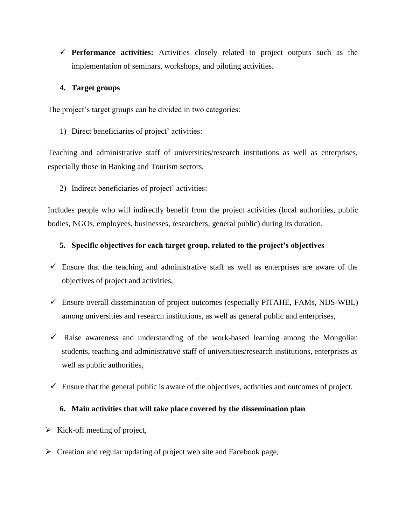**Performance activities:** Activities closely related to project outputs such as the implementation of seminars, workshops, and piloting activities.

# **4. Target groups**

The project's target groups can be divided in two categories:

1) Direct beneficiaries of project' activities:

Teaching and administrative staff of universities/research institutions as well as enterprises, especially those in Banking and Tourism sectors,

2) Indirect beneficiaries of project' activities:

Includes people who will indirectly benefit from the project activities (local authorities, public bodies, NGOs, employees, businesses, researchers, general public) during its duration.

## **5. Specific objectives for each target group, related to the project's objectives**

- $\checkmark$  Ensure that the teaching and administrative staff as well as enterprises are aware of the objectives of project and activities,
- $\checkmark$  Ensure overall dissemination of project outcomes (especially PITAHE, FAMs, NDS-WBL) among universities and research institutions, as well as general public and enterprises,
- $\checkmark$  Raise awareness and understanding of the work-based learning among the Mongolian students, teaching and administrative staff of universities/research institutions, enterprises as well as public authorities,
- $\checkmark$  Ensure that the general public is aware of the objectives, activities and outcomes of project.

# **6. Main activities that will take place covered by the dissemination plan**

- $\triangleright$  Kick-off meeting of project,
- $\triangleright$  Creation and regular updating of project web site and Facebook page,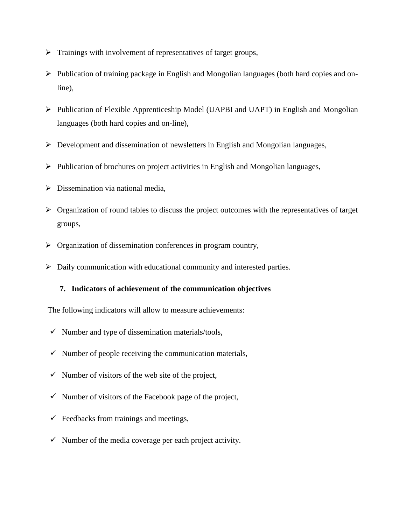- $\triangleright$  Trainings with involvement of representatives of target groups,
- $\triangleright$  Publication of training package in English and Mongolian languages (both hard copies and online),
- $\triangleright$  Publication of Flexible Apprenticeship Model (UAPBI and UAPT) in English and Mongolian languages (both hard copies and on-line),
- $\triangleright$  Development and dissemination of newsletters in English and Mongolian languages,
- $\triangleright$  Publication of brochures on project activities in English and Mongolian languages,
- $\triangleright$  Dissemination via national media,
- $\triangleright$  Organization of round tables to discuss the project outcomes with the representatives of target groups,
- $\triangleright$  Organization of dissemination conferences in program country,
- Daily communication with educational community and interested parties.

### **7. Indicators of achievement of the communication objectives**

- The following indicators will allow to measure achievements:
- $\checkmark$  Number and type of dissemination materials/tools,
- $\checkmark$  Number of people receiving the communication materials,
- $\checkmark$  Number of visitors of the web site of the project,
- $\checkmark$  Number of visitors of the Facebook page of the project,
- $\checkmark$  Feedbacks from trainings and meetings,
- $\checkmark$  Number of the media coverage per each project activity.